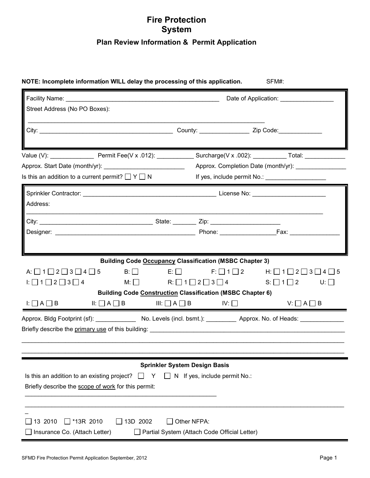## **Fire Protection System Plan Review Information & Permit Application**

|                                                                                                                                                                                                                                                                                                                                                    |                                      |                                                                       | Date of Application: Date of Application:                                                |
|----------------------------------------------------------------------------------------------------------------------------------------------------------------------------------------------------------------------------------------------------------------------------------------------------------------------------------------------------|--------------------------------------|-----------------------------------------------------------------------|------------------------------------------------------------------------------------------|
| Street Address (No PO Boxes):                                                                                                                                                                                                                                                                                                                      |                                      |                                                                       |                                                                                          |
|                                                                                                                                                                                                                                                                                                                                                    |                                      |                                                                       |                                                                                          |
|                                                                                                                                                                                                                                                                                                                                                    |                                      |                                                                       |                                                                                          |
|                                                                                                                                                                                                                                                                                                                                                    |                                      |                                                                       | Approx. Completion Date (month/yr):                                                      |
| Is this an addition to a current permit? $\Box Y \Box N$                                                                                                                                                                                                                                                                                           |                                      |                                                                       | If yes, include permit No.: _______________________                                      |
|                                                                                                                                                                                                                                                                                                                                                    |                                      |                                                                       |                                                                                          |
| Address:                                                                                                                                                                                                                                                                                                                                           |                                      |                                                                       |                                                                                          |
|                                                                                                                                                                                                                                                                                                                                                    |                                      |                                                                       |                                                                                          |
|                                                                                                                                                                                                                                                                                                                                                    |                                      |                                                                       |                                                                                          |
|                                                                                                                                                                                                                                                                                                                                                    |                                      |                                                                       |                                                                                          |
|                                                                                                                                                                                                                                                                                                                                                    |                                      | <b>Building Code Occupancy Classification (MSBC Chapter 3)</b>        |                                                                                          |
| A: $\Box$ 1 $\Box$ 2 $\Box$ 3 $\Box$ 4 $\Box$ 5                                                                                                                                                                                                                                                                                                    |                                      |                                                                       | B: $\Box$ E: $\Box$ F: $\Box$ 1 $\Box$ 2 H: $\Box$ 1 $\Box$ 2 $\Box$ 3 $\Box$ 4 $\Box$ 5 |
| $\mathbf{l}:\square$ 1 $\square$ 2 $\square$ 3 $\square$ 4                                                                                                                                                                                                                                                                                         |                                      | $M: \Box$ R: $\Box$ 1 $\Box$ 2 $\Box$ 3 $\Box$ 4 S: $\Box$ 1 $\Box$ 2 | $U:$ $\Box$                                                                              |
|                                                                                                                                                                                                                                                                                                                                                    |                                      | <b>Building Code Construction Classification (MSBC Chapter 6)</b>     |                                                                                          |
| $I: \Box A \Box B$<br>$II: \Box A \Box B$                                                                                                                                                                                                                                                                                                          | $III: \Box A \Box B$ IV: $\Box$      |                                                                       | $V: \Box A \Box B$                                                                       |
| Approx. Bldg Footprint (sf): No. Levels (incl. bsmt.): No. Levels (incl. bsmt.) Approx. No. of Heads:<br>Briefly describe the <u>primary use</u> of this building: <b>Construction and the construction of the construction of the construction of the construction of the construction of the construction of the construction of the constru</b> |                                      |                                                                       |                                                                                          |
|                                                                                                                                                                                                                                                                                                                                                    |                                      |                                                                       |                                                                                          |
|                                                                                                                                                                                                                                                                                                                                                    | <b>Sprinkler System Design Basis</b> |                                                                       |                                                                                          |
| Is this an addition to an existing project? $\Box$                                                                                                                                                                                                                                                                                                 | - Y                                  | $\Box$ N If yes, include permit No.:                                  |                                                                                          |
| Briefly describe the scope of work for this permit:                                                                                                                                                                                                                                                                                                |                                      |                                                                       |                                                                                          |
|                                                                                                                                                                                                                                                                                                                                                    |                                      |                                                                       |                                                                                          |
| 13 2010<br>$\Box$ *13R 2010<br>13D 2002                                                                                                                                                                                                                                                                                                            | Other NFPA:                          |                                                                       |                                                                                          |
|                                                                                                                                                                                                                                                                                                                                                    |                                      |                                                                       |                                                                                          |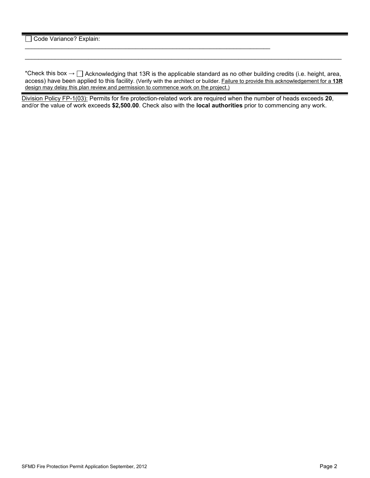Code Variance? Explain:

\*Check this box  $\to \Box$  Acknowledging that 13R is the applicable standard as no other building credits (i.e. height, area, access) have been applied to this facility. (Verify with the architect or builder. Failure to provide this acknowledgement for a **13R** design may delay this plan review and permission to commence work on the project.)

\_\_\_\_\_\_\_\_\_\_\_\_\_\_\_\_\_\_\_\_\_\_\_\_\_\_\_\_\_\_\_\_\_\_\_\_\_\_\_\_\_\_\_\_\_\_\_\_\_\_\_\_\_\_\_\_\_\_\_\_\_\_\_\_\_\_\_\_\_\_\_\_\_\_\_\_\_\_\_\_\_\_\_\_\_\_\_\_\_\_\_\_\_\_\_

Division Policy FP-1(03): Permits for fire protection-related work are required when the number of heads exceeds **20**, and/or the value of work exceeds **\$2,500.00**. Check also with the **local authorities** prior to commencing any work.

\_\_\_\_\_\_\_\_\_\_\_\_\_\_\_\_\_\_\_\_\_\_\_\_\_\_\_\_\_\_\_\_\_\_\_\_\_\_\_\_\_\_\_\_\_\_\_\_\_\_\_\_\_\_\_\_\_\_\_\_\_\_\_\_\_\_\_\_\_\_\_\_\_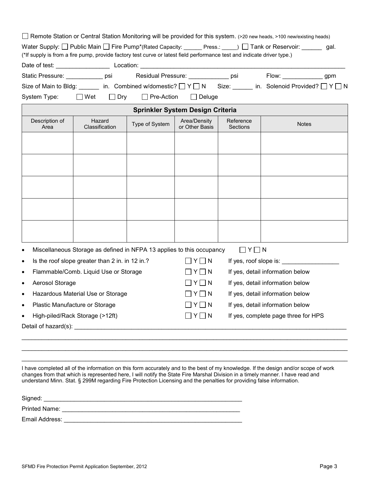|                                                    | Remote Station or Central Station Monitoring will be provided for this system. (>20 new heads, >100 new/existing heads)                                                                                                                                                                                                                                                                       |                   |                                     |                       |                                     |  |  |  |
|----------------------------------------------------|-----------------------------------------------------------------------------------------------------------------------------------------------------------------------------------------------------------------------------------------------------------------------------------------------------------------------------------------------------------------------------------------------|-------------------|-------------------------------------|-----------------------|-------------------------------------|--|--|--|
|                                                    | Water Supply: $\Box$ Public Main $\Box$ Fire Pump*(Rated Capacity: _____ Press.: ____) $\Box$ Tank or Reservoir: ______ gal.                                                                                                                                                                                                                                                                  |                   |                                     |                       |                                     |  |  |  |
|                                                    | (*If supply is from a fire pump, provide factory test curve or latest field performance test and indicate driver type.)                                                                                                                                                                                                                                                                       |                   |                                     |                       |                                     |  |  |  |
|                                                    |                                                                                                                                                                                                                                                                                                                                                                                               |                   |                                     |                       |                                     |  |  |  |
|                                                    | Residual Pressure: _____________ psi<br>Static Pressure: ____________ psi                                                                                                                                                                                                                                                                                                                     |                   |                                     |                       | Flow: ________________gpm           |  |  |  |
|                                                    | Size of Main to Bldg: ______ in. Combined w/domestic? □ Y □ N Size: _____ in. Solenoid Provided? □ Y □ N                                                                                                                                                                                                                                                                                      |                   |                                     |                       |                                     |  |  |  |
| System Type:                                       | $\square$ Wet<br>$\Box$ Dry                                                                                                                                                                                                                                                                                                                                                                   | $\Box$ Pre-Action | $\Box$ Deluge                       |                       |                                     |  |  |  |
| Sprinkler System Design Criteria                   |                                                                                                                                                                                                                                                                                                                                                                                               |                   |                                     |                       |                                     |  |  |  |
| Description of<br>Area                             | Hazard<br>Classification                                                                                                                                                                                                                                                                                                                                                                      | Type of System    | Area/Density<br>or Other Basis      | Reference<br>Sections | <b>Notes</b>                        |  |  |  |
|                                                    |                                                                                                                                                                                                                                                                                                                                                                                               |                   |                                     |                       |                                     |  |  |  |
|                                                    |                                                                                                                                                                                                                                                                                                                                                                                               |                   |                                     |                       |                                     |  |  |  |
|                                                    |                                                                                                                                                                                                                                                                                                                                                                                               |                   |                                     |                       |                                     |  |  |  |
|                                                    |                                                                                                                                                                                                                                                                                                                                                                                               |                   |                                     |                       |                                     |  |  |  |
|                                                    |                                                                                                                                                                                                                                                                                                                                                                                               |                   |                                     |                       |                                     |  |  |  |
|                                                    |                                                                                                                                                                                                                                                                                                                                                                                               |                   |                                     |                       |                                     |  |  |  |
|                                                    |                                                                                                                                                                                                                                                                                                                                                                                               |                   |                                     |                       |                                     |  |  |  |
|                                                    |                                                                                                                                                                                                                                                                                                                                                                                               |                   |                                     |                       |                                     |  |  |  |
|                                                    |                                                                                                                                                                                                                                                                                                                                                                                               |                   |                                     |                       |                                     |  |  |  |
|                                                    |                                                                                                                                                                                                                                                                                                                                                                                               |                   |                                     |                       |                                     |  |  |  |
| $\bullet$                                          | Miscellaneous Storage as defined in NFPA 13 applies to this occupancy                                                                                                                                                                                                                                                                                                                         |                   |                                     | $\Box$ Y $\Box$ N     |                                     |  |  |  |
| $\bullet$                                          | Is the roof slope greater than 2 in. in 12 in.?                                                                                                                                                                                                                                                                                                                                               |                   | $\Box$ Y $\Box$ N                   |                       | If yes, roof slope is:              |  |  |  |
| Flammable/Comb. Liquid Use or Storage<br>$\bullet$ |                                                                                                                                                                                                                                                                                                                                                                                               |                   | $ Y $ $ N$                          |                       | If yes, detail information below    |  |  |  |
| Aerosol Storage<br>$\bullet$                       |                                                                                                                                                                                                                                                                                                                                                                                               |                   | $\Box$ $\Upsilon$ $\Box$ $\Upsilon$ |                       | If yes, detail information below    |  |  |  |
| Hazardous Material Use or Storage<br>$\bullet$     |                                                                                                                                                                                                                                                                                                                                                                                               |                   | $ Y $ $ N$                          |                       | If yes, detail information below    |  |  |  |
| Plastic Manufacture or Storage                     |                                                                                                                                                                                                                                                                                                                                                                                               |                   | ∏Y□N                                |                       | If yes, detail information below    |  |  |  |
| High-piled/Rack Storage (>12ft)<br>$\bullet$       |                                                                                                                                                                                                                                                                                                                                                                                               |                   | $\Box$ Y $\Box$ N                   |                       | If yes, complete page three for HPS |  |  |  |
|                                                    |                                                                                                                                                                                                                                                                                                                                                                                               |                   |                                     |                       |                                     |  |  |  |
|                                                    |                                                                                                                                                                                                                                                                                                                                                                                               |                   |                                     |                       |                                     |  |  |  |
|                                                    |                                                                                                                                                                                                                                                                                                                                                                                               |                   |                                     |                       |                                     |  |  |  |
|                                                    |                                                                                                                                                                                                                                                                                                                                                                                               |                   |                                     |                       |                                     |  |  |  |
|                                                    | I have completed all of the information on this form accurately and to the best of my knowledge. If the design and/or scope of work<br>changes from that which is represented here, I will notify the State Fire Marshal Division in a timely manner. I have read and<br>understand Minn. Stat. § 299M regarding Fire Protection Licensing and the penalties for providing false information. |                   |                                     |                       |                                     |  |  |  |
| Signed:                                            |                                                                                                                                                                                                                                                                                                                                                                                               |                   |                                     |                       |                                     |  |  |  |
|                                                    |                                                                                                                                                                                                                                                                                                                                                                                               |                   |                                     |                       |                                     |  |  |  |

Email Address: \_\_\_\_\_\_\_\_\_\_\_\_\_\_\_\_\_\_\_\_\_\_\_\_\_\_\_\_\_\_\_\_\_\_\_\_\_\_\_\_\_\_\_\_\_\_\_\_\_\_\_\_\_